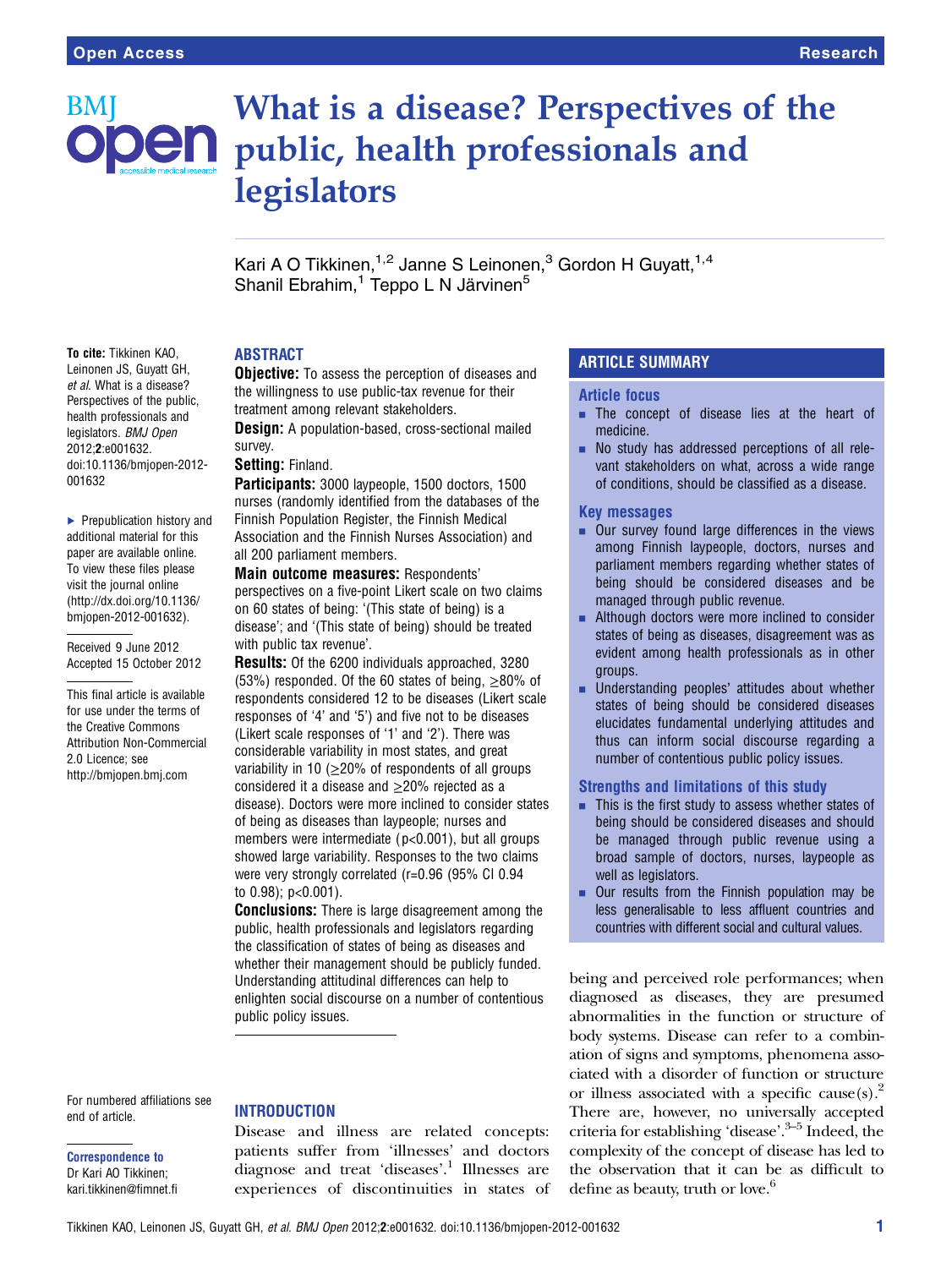# BM.

To cite: Tikkinen KAO, Leinonen JS, Guyatt GH, et al. What is a disease? Perspectives of the public, health professionals and legislators. BMJ Open 2012;2:e001632.

doi:10.1136/bmjopen-2012-

▶ Prepublication history and additional material for this paper are available online. To view these files please visit the journal online [\(http://dx.doi.org/10.1136/](http://dx.doi.org/10.1136/bmjopen-2012-001632) [bmjopen-2012-001632](http://dx.doi.org/10.1136/bmjopen-2012-001632)). Received 9 June 2012 Accepted 15 October 2012 This final article is available for use under the terms of the Creative Commons Attribution Non-Commercial

001632

2.0 Licence; see <http://bmjopen.bmj.com>

## What is a disease? Perspectives of the **Jen** public, health professionals and legislators

Kari A O Tikkinen,<sup>1,2</sup> Janne S Leinonen,<sup>3</sup> Gordon H Guyatt,<sup>1,4</sup> Shanil Ebrahim.<sup>1</sup> Teppo L N Järvinen<sup>5</sup>

### **ABSTRACT**

**Objective:** To assess the perception of diseases and the willingness to use public-tax revenue for their treatment among relevant stakeholders.

**Design:** A population-based, cross-sectional mailed survey.

#### Setting: Finland.

Participants: 3000 laypeople, 1500 doctors, 1500 nurses (randomly identified from the databases of the Finnish Population Register, the Finnish Medical Association and the Finnish Nurses Association) and all 200 parliament members.

Main outcome measures: Respondents' perspectives on a five-point Likert scale on two claims on 60 states of being: '(This state of being) is a disease'; and '(This state of being) should be treated with public tax revenue'.

Results: Of the 6200 individuals approached, 3280 (53%) responded. Of the 60 states of being, ≥80% of respondents considered 12 to be diseases (Likert scale responses of '4' and '5') and five not to be diseases (Likert scale responses of '1' and '2'). There was considerable variability in most states, and great variability in 10 ( $\geq$ 20% of respondents of all groups considered it a disease and ≥20% rejected as a disease). Doctors were more inclined to consider states of being as diseases than laypeople; nurses and members were intermediate ( p<0.001), but all groups showed large variability. Responses to the two claims were very strongly correlated (r=0.96 (95% CI 0.94 to 0.98); p<0.001).

**Conclusions:** There is large disagreement among the public, health professionals and legislators regarding the classification of states of being as diseases and whether their management should be publicly funded. Understanding attitudinal differences can help to enlighten social discourse on a number of contentious public policy issues.

#### For numbered affiliations see end of article.

Correspondence to Dr Kari AO Tikkinen; kari.tikkinen@fimnet.fi

#### **INTRODUCTION**

Disease and illness are related concepts: patients suffer from 'illnesses' and doctors diagnose and treat 'diseases'. <sup>1</sup> Illnesses are experiences of discontinuities in states of

#### ARTICLE SUMMARY

#### Article focus

- **Exercise** The concept of disease lies at the heart of medicine.
- No study has addressed perceptions of all relevant stakeholders on what, across a wide range of conditions, should be classified as a disease.

#### Key messages

- Our survey found large differences in the views among Finnish laypeople, doctors, nurses and parliament members regarding whether states of being should be considered diseases and be managed through public revenue.
- Although doctors were more inclined to consider states of being as diseases, disagreement was as evident among health professionals as in other groups.
- Understanding peoples' attitudes about whether states of being should be considered diseases elucidates fundamental underlying attitudes and thus can inform social discourse regarding a number of contentious public policy issues.

#### Strengths and limitations of this study

- $\blacksquare$  This is the first study to assess whether states of being should be considered diseases and should be managed through public revenue using a broad sample of doctors, nurses, laypeople as well as legislators.
- $\blacksquare$  Our results from the Finnish population may be less generalisable to less affluent countries and countries with different social and cultural values.

being and perceived role performances; when diagnosed as diseases, they are presumed abnormalities in the function or structure of body systems. Disease can refer to a combination of signs and symptoms, phenomena associated with a disorder of function or structure or illness associated with a specific cause(s).<sup>2</sup> There are, however, no universally accepted criteria for establishing 'disease'. <sup>3</sup>–<sup>5</sup> Indeed, the complexity of the concept of disease has led to the observation that it can be as difficult to define as beauty, truth or love.<sup>6</sup>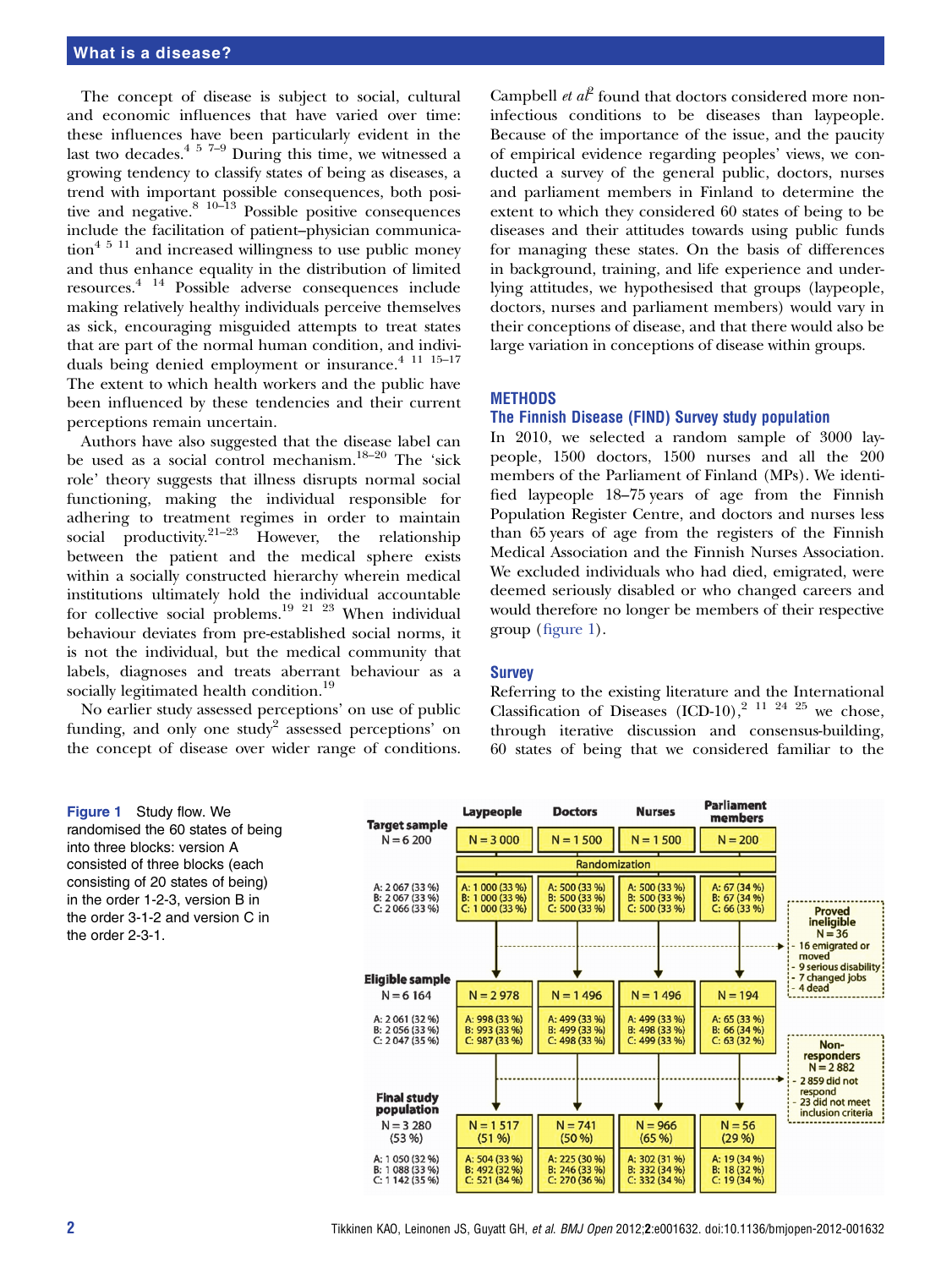The concept of disease is subject to social, cultural and economic influences that have varied over time: these influences have been particularly evident in the last two decades. $457-9$  During this time, we witnessed a growing tendency to classify states of being as diseases, a trend with important possible consequences, both positive and negative.<sup>8 10–13</sup> Possible positive consequences include the facilitation of patient–physician communica- $\text{tion}^{4.5-11}$  and increased willingness to use public money and thus enhance equality in the distribution of limited resources. 4 14 Possible adverse consequences include making relatively healthy individuals perceive themselves as sick, encouraging misguided attempts to treat states that are part of the normal human condition, and individuals being denied employment or insurance.4 11 15–<sup>17</sup> The extent to which health workers and the public have been influenced by these tendencies and their current perceptions remain uncertain.

Authors have also suggested that the disease label can be used as a social control mechanism.18–<sup>20</sup> The 'sick role' theory suggests that illness disrupts normal social functioning, making the individual responsible for adhering to treatment regimes in order to maintain social productivity.<sup>21–23</sup> However, the relationship between the patient and the medical sphere exists within a socially constructed hierarchy wherein medical institutions ultimately hold the individual accountable for collective social problems.<sup>19 21 23</sup> When individual behaviour deviates from pre-established social norms, it is not the individual, but the medical community that labels, diagnoses and treats aberrant behaviour as a socially legitimated health condition.<sup>19</sup>

No earlier study assessed perceptions' on use of public funding, and only one study<sup>2</sup> assessed perceptions' on the concept of disease over wider range of conditions.

Campbell  $et\ a^p$  found that doctors considered more noninfectious conditions to be diseases than laypeople. Because of the importance of the issue, and the paucity of empirical evidence regarding peoples' views, we conducted a survey of the general public, doctors, nurses and parliament members in Finland to determine the extent to which they considered 60 states of being to be diseases and their attitudes towards using public funds for managing these states. On the basis of differences in background, training, and life experience and underlying attitudes, we hypothesised that groups (laypeople, doctors, nurses and parliament members) would vary in their conceptions of disease, and that there would also be large variation in conceptions of disease within groups.

#### **METHODS**

#### The Finnish Disease (FIND) Survey study population

In 2010, we selected a random sample of 3000 laypeople, 1500 doctors, 1500 nurses and all the 200 members of the Parliament of Finland (MPs). We identified laypeople 18–75 years of age from the Finnish Population Register Centre, and doctors and nurses less than 65 years of age from the registers of the Finnish Medical Association and the Finnish Nurses Association. We excluded individuals who had died, emigrated, were deemed seriously disabled or who changed careers and would therefore no longer be members of their respective group (figure 1).

#### Survey

Referring to the existing literature and the International Classification of Diseases (ICD-10),<sup>2 11 24 25</sup> we chose, through iterative discussion and consensus-building, 60 states of being that we considered familiar to the

Figure 1 Study flow. We randomised the 60 states of being into three blocks: version A consisted of three blocks (each consisting of 20 states of being) in the order 1-2-3, version B in the order 3-1-2 and version C in the order 2-3-1.

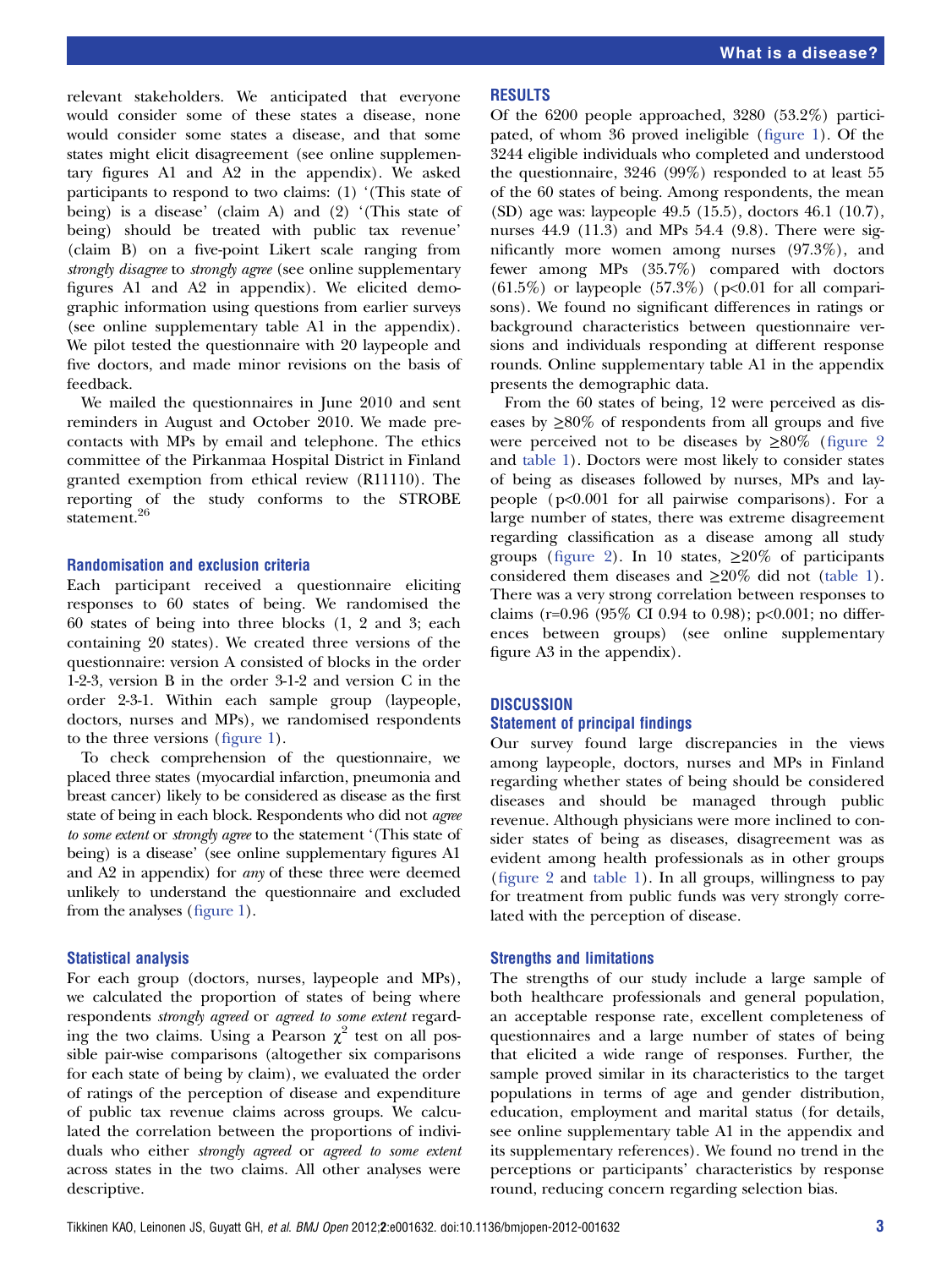relevant stakeholders. We anticipated that everyone would consider some of these states a disease, none would consider some states a disease, and that some states might elicit disagreement (see online supplementary figures A1 and A2 in the appendix). We asked participants to respond to two claims: (1) '(This state of being) is a disease' (claim A) and (2) '(This state of being) should be treated with public tax revenue' (claim B) on a five-point Likert scale ranging from strongly disagree to strongly agree (see online supplementary figures A1 and A2 in appendix). We elicited demographic information using questions from earlier surveys (see online supplementary table A1 in the appendix). We pilot tested the questionnaire with 20 laypeople and five doctors, and made minor revisions on the basis of feedback.

We mailed the questionnaires in June 2010 and sent reminders in August and October 2010. We made precontacts with MPs by email and telephone. The ethics committee of the Pirkanmaa Hospital District in Finland granted exemption from ethical review (R11110). The reporting of the study conforms to the STROBE statement.<sup>26</sup>

#### Randomisation and exclusion criteria

Each participant received a questionnaire eliciting responses to 60 states of being. We randomised the 60 states of being into three blocks (1, 2 and 3; each containing 20 states). We created three versions of the questionnaire: version A consisted of blocks in the order 1-2-3, version B in the order 3-1-2 and version C in the order 2-3-1. Within each sample group (laypeople, doctors, nurses and MPs), we randomised respondents to the three versions (figure 1).

To check comprehension of the questionnaire, we placed three states (myocardial infarction, pneumonia and breast cancer) likely to be considered as disease as the first state of being in each block. Respondents who did not agree to some extent or strongly agree to the statement '(This state of being) is a disease' (see online supplementary figures A1 and A2 in appendix) for any of these three were deemed unlikely to understand the questionnaire and excluded from the analyses (figure 1).

#### Statistical analysis

For each group (doctors, nurses, laypeople and MPs), we calculated the proportion of states of being where respondents strongly agreed or agreed to some extent regarding the two claims. Using a Pearson  $\chi^2$  test on all possible pair-wise comparisons (altogether six comparisons for each state of being by claim), we evaluated the order of ratings of the perception of disease and expenditure of public tax revenue claims across groups. We calculated the correlation between the proportions of individuals who either strongly agreed or agreed to some extent across states in the two claims. All other analyses were descriptive.

#### RESULTS

Of the 6200 people approached, 3280 (53.2%) participated, of whom 36 proved ineligible (figure 1). Of the 3244 eligible individuals who completed and understood the questionnaire, 3246 (99%) responded to at least 55 of the 60 states of being. Among respondents, the mean (SD) age was: laypeople 49.5 (15.5), doctors 46.1 (10.7), nurses 44.9 (11.3) and MPs 54.4 (9.8). There were significantly more women among nurses (97.3%), and fewer among MPs (35.7%) compared with doctors  $(61.5\%)$  or laypeople  $(57.3\%)$  (p<0.01 for all comparisons). We found no significant differences in ratings or background characteristics between questionnaire versions and individuals responding at different response rounds. Online supplementary table A1 in the appendix presents the demographic data.

From the 60 states of being, 12 were perceived as diseases by  $\geq 80\%$  of respondents from all groups and five were perceived not to be diseases by  $\geq 80\%$  (figure 2) and table 1). Doctors were most likely to consider states of being as diseases followed by nurses, MPs and laypeople (p<0.001 for all pairwise comparisons). For a large number of states, there was extreme disagreement regarding classification as a disease among all study groups (figure 2). In 10 states,  $\geq 20\%$  of participants considered them diseases and  $\geq 20\%$  did not (table 1). There was a very strong correlation between responses to claims (r=0.96 (95% CI 0.94 to 0.98); p<0.001; no differences between groups) (see online supplementary figure A3 in the appendix).

#### **DISCUSSION**

#### Statement of principal findings

Our survey found large discrepancies in the views among laypeople, doctors, nurses and MPs in Finland regarding whether states of being should be considered diseases and should be managed through public revenue. Although physicians were more inclined to consider states of being as diseases, disagreement was as evident among health professionals as in other groups (figure 2 and table 1). In all groups, willingness to pay for treatment from public funds was very strongly correlated with the perception of disease.

#### Strengths and limitations

The strengths of our study include a large sample of both healthcare professionals and general population, an acceptable response rate, excellent completeness of questionnaires and a large number of states of being that elicited a wide range of responses. Further, the sample proved similar in its characteristics to the target populations in terms of age and gender distribution, education, employment and marital status (for details, see online supplementary table A1 in the appendix and its supplementary references). We found no trend in the perceptions or participants' characteristics by response round, reducing concern regarding selection bias.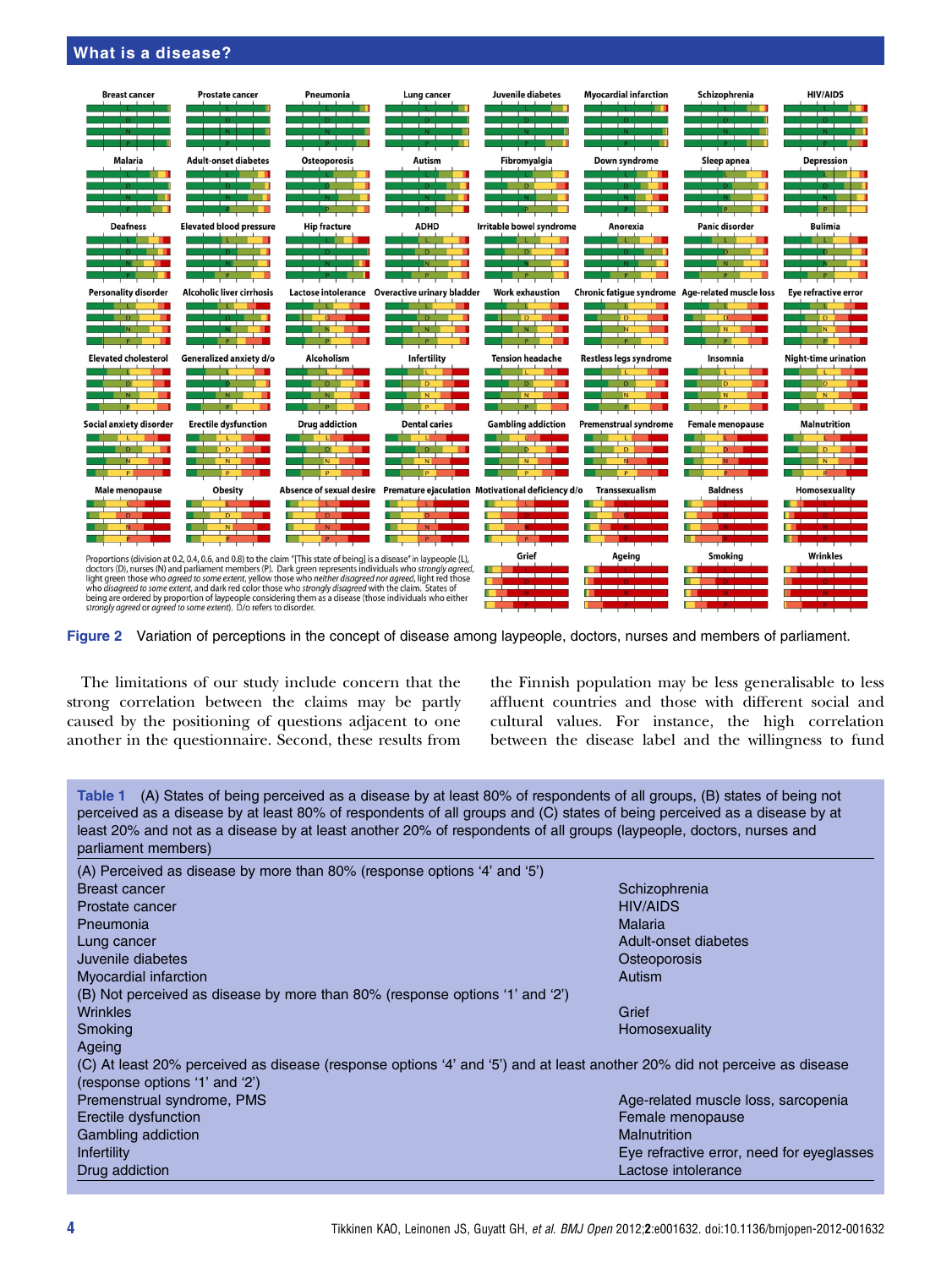#### What is a disease?

| <b>Breast cancer</b>        | <b>Prostate cancer</b>                                                                                                                                                                                                              | Pneumonia                                | Lung cancer                                                                                                | Juvenile diabetes                                                                                                                                                                                                                               | <b>Myocardial infarction</b>                                                                                                                                                                                                         | Schizophrenia           | <b>HIV/AIDS</b>                                                                                                                                                                                                                      |
|-----------------------------|-------------------------------------------------------------------------------------------------------------------------------------------------------------------------------------------------------------------------------------|------------------------------------------|------------------------------------------------------------------------------------------------------------|-------------------------------------------------------------------------------------------------------------------------------------------------------------------------------------------------------------------------------------------------|--------------------------------------------------------------------------------------------------------------------------------------------------------------------------------------------------------------------------------------|-------------------------|--------------------------------------------------------------------------------------------------------------------------------------------------------------------------------------------------------------------------------------|
|                             |                                                                                                                                                                                                                                     | ______                                   |                                                                                                            |                                                                                                                                                                                                                                                 |                                                                                                                                                                                                                                      |                         |                                                                                                                                                                                                                                      |
|                             |                                                                                                                                                                                                                                     |                                          |                                                                                                            |                                                                                                                                                                                                                                                 |                                                                                                                                                                                                                                      |                         |                                                                                                                                                                                                                                      |
| Malaria                     | <b>Adult-onset diabetes</b>                                                                                                                                                                                                         | Osteoporosis                             | Autism                                                                                                     | Fibromyalgia                                                                                                                                                                                                                                    | Down syndrome                                                                                                                                                                                                                        | Sleep apnea             | <b>Depression</b>                                                                                                                                                                                                                    |
|                             |                                                                                                                                                                                                                                     |                                          |                                                                                                            |                                                                                                                                                                                                                                                 |                                                                                                                                                                                                                                      |                         |                                                                                                                                                                                                                                      |
|                             |                                                                                                                                                                                                                                     |                                          |                                                                                                            |                                                                                                                                                                                                                                                 |                                                                                                                                                                                                                                      |                         | $\mathsf{P}$                                                                                                                                                                                                                         |
| <b>Deafness</b>             | <b>Elevated blood pressure</b>                                                                                                                                                                                                      | <b>Hip fracture</b>                      | <b>ADHD</b>                                                                                                | Irritable bowel syndrome                                                                                                                                                                                                                        | Anorexia                                                                                                                                                                                                                             | <b>Panic disorder</b>   | <b>Bulimia</b>                                                                                                                                                                                                                       |
|                             |                                                                                                                                                                                                                                     |                                          |                                                                                                            |                                                                                                                                                                                                                                                 |                                                                                                                                                                                                                                      |                         |                                                                                                                                                                                                                                      |
|                             |                                                                                                                                                                                                                                     |                                          | N                                                                                                          |                                                                                                                                                                                                                                                 |                                                                                                                                                                                                                                      | N                       |                                                                                                                                                                                                                                      |
| <b>Personality disorder</b> | Alcoholic liver cirrhosis                                                                                                                                                                                                           |                                          | Lactose intolerance Overactive urinary bladder                                                             | <b>Work exhaustion</b>                                                                                                                                                                                                                          | Chronic fatique syndrome Age-related muscle loss                                                                                                                                                                                     |                         | Eye refractive error                                                                                                                                                                                                                 |
|                             |                                                                                                                                                                                                                                     |                                          |                                                                                                            |                                                                                                                                                                                                                                                 |                                                                                                                                                                                                                                      |                         |                                                                                                                                                                                                                                      |
| $\overline{D}$              |                                                                                                                                                                                                                                     | $\overline{D}$                           | $\overline{D}$                                                                                             | D                                                                                                                                                                                                                                               |                                                                                                                                                                                                                                      | $\overline{D}$<br>-N    |                                                                                                                                                                                                                                      |
|                             |                                                                                                                                                                                                                                     |                                          |                                                                                                            |                                                                                                                                                                                                                                                 |                                                                                                                                                                                                                                      |                         |                                                                                                                                                                                                                                      |
| <b>Elevated cholesterol</b> | Generalized anxiety d/o                                                                                                                                                                                                             | Alcoholism                               | <b>Infertility</b>                                                                                         | <b>Tension headache</b>                                                                                                                                                                                                                         | <b>Restless legs syndrome</b>                                                                                                                                                                                                        | Insomnia                | <b>Night-time urination</b>                                                                                                                                                                                                          |
| N                           | N                                                                                                                                                                                                                                   | $\mathbf{D}$<br>$\overline{\phantom{a}}$ | D<br>N                                                                                                     | D<br>N                                                                                                                                                                                                                                          | <b>D</b><br><b>N</b>                                                                                                                                                                                                                 | I D<br>$\mathbb{N}$     | $\mathbb{N}$                                                                                                                                                                                                                         |
|                             | $\overline{P}$                                                                                                                                                                                                                      | $\blacksquare$<br>$\mathsf{P}$           |                                                                                                            |                                                                                                                                                                                                                                                 |                                                                                                                                                                                                                                      | P                       |                                                                                                                                                                                                                                      |
| Social anxiety disorder     | <b>Erectile dysfunction</b>                                                                                                                                                                                                         | <b>Drug addiction</b>                    | <b>Dental caries</b>                                                                                       | <b>Gambling addiction</b>                                                                                                                                                                                                                       | Premenstrual syndrome                                                                                                                                                                                                                | <b>Female menopause</b> | <b>Malnutrition</b>                                                                                                                                                                                                                  |
| - <b>D</b>                  |                                                                                                                                                                                                                                     | $\mathbf{D}$                             | $\bullet$                                                                                                  |                                                                                                                                                                                                                                                 | D                                                                                                                                                                                                                                    |                         |                                                                                                                                                                                                                                      |
| P                           | <b>P</b>                                                                                                                                                                                                                            | P                                        | P                                                                                                          | $\mathsf{P}$                                                                                                                                                                                                                                    | P                                                                                                                                                                                                                                    |                         |                                                                                                                                                                                                                                      |
| <b>Male menopause</b>       | <b>Obesity</b>                                                                                                                                                                                                                      |                                          | Absence of sexual desire Premature ejaculation Motivational deficiency d/o                                 |                                                                                                                                                                                                                                                 | Transsexualism                                                                                                                                                                                                                       | <b>Baldness</b>         | Homosexuality                                                                                                                                                                                                                        |
|                             |                                                                                                                                                                                                                                     |                                          |                                                                                                            |                                                                                                                                                                                                                                                 |                                                                                                                                                                                                                                      |                         | <u> La Carlo de Carlo de la Carlo de La</u>                                                                                                                                                                                          |
|                             |                                                                                                                                                                                                                                     |                                          |                                                                                                            |                                                                                                                                                                                                                                                 |                                                                                                                                                                                                                                      | _____                   | <u> a shekara ta 1999 a shekara tsa a shekara tsa a shekara tsa a shekara tsa a shekara tsa a shekara tsa a shekara tsa a shekara tsa a shekara tsa a shekara tsa a shekara tsa a shekara tsa a shekara tsa a shekara tsa a shek</u> |
|                             |                                                                                                                                                                                                                                     |                                          |                                                                                                            | Grief                                                                                                                                                                                                                                           | Ageing                                                                                                                                                                                                                               | <b>Smoking</b>          | <b>Wrinkles</b>                                                                                                                                                                                                                      |
|                             | Proportions (division at 0.2, 0.4, 0.6, and 0.8) to the claim "[This state of being] is a disease" in laypeople (L),<br>light green those who agreed to some extent, yellow those who neither disagreed nor agreed, light red those |                                          | doctors (D), nurses (N) and parliament members (P). Dark green represents individuals who strongly agreed, | <b><i><u>Property Lines And Address and Address and Address and Address and Address and Address and Address and Address</u></i> and Address and Address and Address and Address and Address and Address and Address and Address and Address</b> | والمسالس المسار المسارا                                                                                                                                                                                                              | ___                     | <b>The State of Contract Contract of the Contract Of Contract Contract Of Contract Of Contract Of Contract Of Contract Of Contract Of Contract Of Contract Of Contract Of Contract Of Contract Of Contract Of Contract Of Contra</b> |
|                             | who disagreed to some extent, and dark red color those who strongly disagreed with the claim. States of<br>being are ordered by proportion of laypeople considering them as a disease (those individuals who either                 |                                          |                                                                                                            | <u> La Barbara de la Barbara de la Barbara de la Barbara de la Barbara de la Barbara de la Barbara de la Barbara de la Barbara de la Barbara de la Barbara de la Barbara de la Barbara de la Barbara de la Barbara de la Barbara</u>            | i kacamatan ing Kabupatèn Ka                                                                                                                                                                                                         |                         | <u> Tanzania de la provincia de la provincia de la provincia de la provincia de la provincia de la provincia de la</u>                                                                                                               |
|                             | strongly agreed or agreed to some extent). D/o refers to disorder.                                                                                                                                                                  |                                          |                                                                                                            | ______                                                                                                                                                                                                                                          | <u> La Barbara de la Barbara de la Barbara de la Barbara de la Barbara de la Barbara de la Barbara de la Barbara de la Barbara de la Barbara de la Barbara de la Barbara de la Barbara de la Barbara de la Barbara de la Barbara</u> | _____                   |                                                                                                                                                                                                                                      |

Figure 2 Variation of perceptions in the concept of disease among laypeople, doctors, nurses and members of parliament.

The limitations of our study include concern that the strong correlation between the claims may be partly caused by the positioning of questions adjacent to one another in the questionnaire. Second, these results from

the Finnish population may be less generalisable to less affluent countries and those with different social and cultural values. For instance, the high correlation between the disease label and the willingness to fund

Table 1 (A) States of being perceived as a disease by at least 80% of respondents of all groups, (B) states of being not perceived as a disease by at least 80% of respondents of all groups and (C) states of being perceived as a disease by at least 20% and not as a disease by at least another 20% of respondents of all groups (laypeople, doctors, nurses and parliament members)

| (A) Perceived as disease by more than 80% (response options '4' and '5')                                                  |                                           |
|---------------------------------------------------------------------------------------------------------------------------|-------------------------------------------|
| Breast cancer                                                                                                             | Schizophrenia                             |
| Prostate cancer                                                                                                           | HIV/AIDS                                  |
| Pneumonia                                                                                                                 | Malaria                                   |
| Lung cancer                                                                                                               | Adult-onset diabetes                      |
| Juvenile diabetes                                                                                                         | Osteoporosis                              |
| Myocardial infarction                                                                                                     | Autism                                    |
| (B) Not perceived as disease by more than 80% (response options '1' and '2')                                              |                                           |
| <b>Wrinkles</b>                                                                                                           | Grief                                     |
| <b>Smoking</b>                                                                                                            | Homosexuality                             |
| Ageing                                                                                                                    |                                           |
| (C) At least 20% perceived as disease (response options '4' and '5') and at least another 20% did not perceive as disease |                                           |
| (response options '1' and '2')                                                                                            |                                           |
| Premenstrual syndrome, PMS                                                                                                | Age-related muscle loss, sarcopenia       |
| Erectile dysfunction                                                                                                      | Female menopause                          |
| Gambling addiction                                                                                                        | <b>Malnutrition</b>                       |
| Infertility                                                                                                               | Eye refractive error, need for eyeglasses |
| Drug addiction                                                                                                            | Lactose intolerance                       |
|                                                                                                                           |                                           |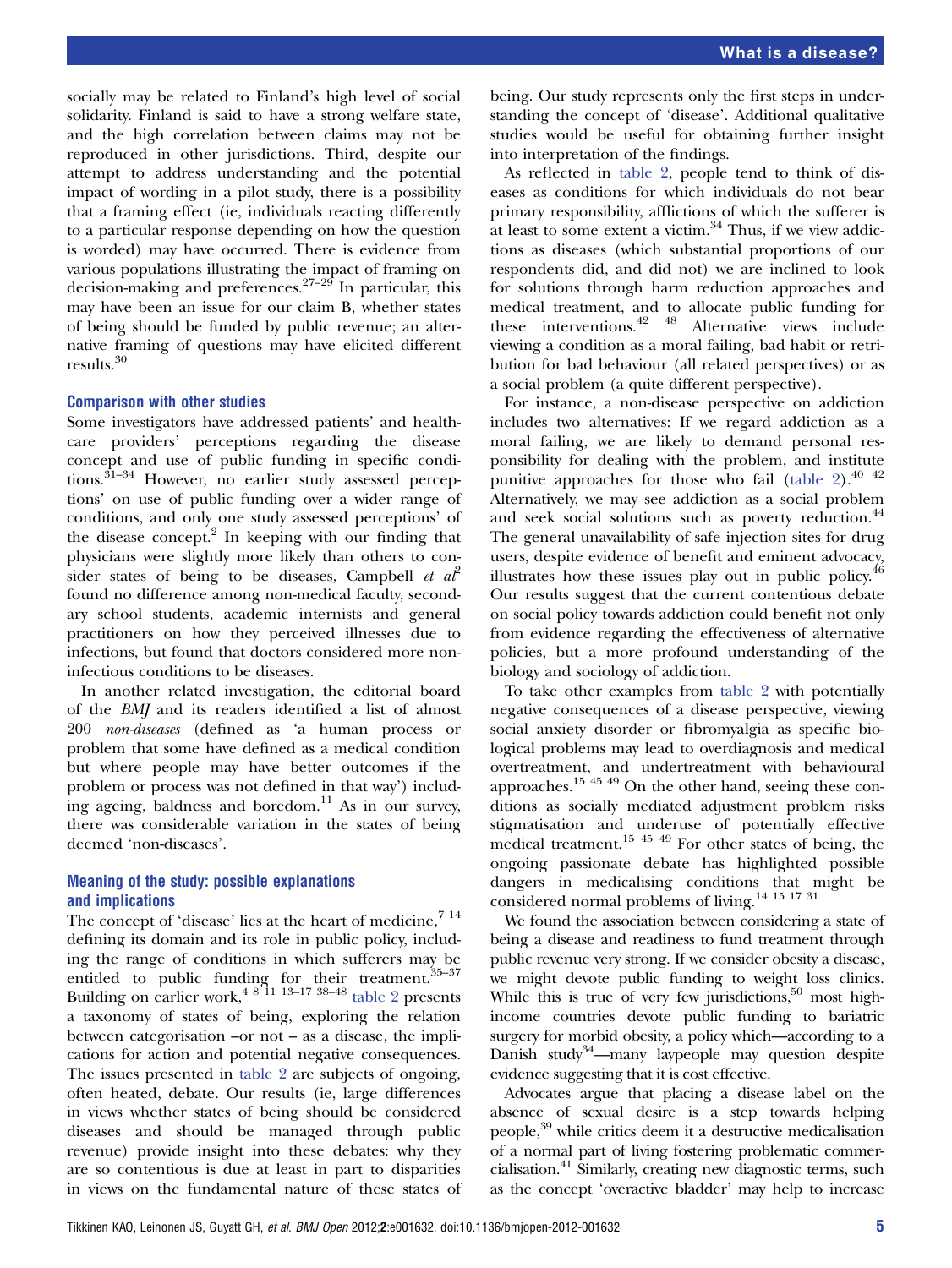socially may be related to Finland's high level of social solidarity. Finland is said to have a strong welfare state, and the high correlation between claims may not be reproduced in other jurisdictions. Third, despite our attempt to address understanding and the potential impact of wording in a pilot study, there is a possibility that a framing effect (ie, individuals reacting differently to a particular response depending on how the question is worded) may have occurred. There is evidence from various populations illustrating the impact of framing on decision-making and preferences.<sup>27–29</sup> In particular, this may have been an issue for our claim B, whether states of being should be funded by public revenue; an alternative framing of questions may have elicited different results.<sup>30</sup>

#### Comparison with other studies

Some investigators have addressed patients' and healthcare providers' perceptions regarding the disease concept and use of public funding in specific conditions.<sup>31-34</sup> However, no earlier study assessed perceptions' on use of public funding over a wider range of conditions, and only one study assessed perceptions' of the disease concept.<sup>2</sup> In keeping with our finding that physicians were slightly more likely than others to consider states of being to be diseases, Campbell et  $a\ell^2$ found no difference among non-medical faculty, secondary school students, academic internists and general practitioners on how they perceived illnesses due to infections, but found that doctors considered more noninfectious conditions to be diseases.

In another related investigation, the editorial board of the BMJ and its readers identified a list of almost 200 non-diseases (defined as 'a human process or problem that some have defined as a medical condition but where people may have better outcomes if the problem or process was not defined in that way') including ageing, baldness and boredom.<sup>11</sup> As in our survey, there was considerable variation in the states of being deemed 'non-diseases'.

#### Meaning of the study: possible explanations and implications

The concept of 'disease' lies at the heart of medicine, $7^{14}$ defining its domain and its role in public policy, including the range of conditions in which sufferers may be entitled to public funding for their treatment.<sup>35-37</sup> Building on earlier work,  $48^{11}$  13–17 38–48 table 2 presents a taxonomy of states of being, exploring the relation between categorisation –or not – as a disease, the implications for action and potential negative consequences. The issues presented in table 2 are subjects of ongoing, often heated, debate. Our results (ie, large differences in views whether states of being should be considered diseases and should be managed through public revenue) provide insight into these debates: why they are so contentious is due at least in part to disparities in views on the fundamental nature of these states of

being. Our study represents only the first steps in understanding the concept of 'disease'. Additional qualitative studies would be useful for obtaining further insight into interpretation of the findings.

As reflected in table 2, people tend to think of diseases as conditions for which individuals do not bear primary responsibility, afflictions of which the sufferer is at least to some extent a victim.<sup>34</sup> Thus, if we view addictions as diseases (which substantial proportions of our respondents did, and did not) we are inclined to look for solutions through harm reduction approaches and medical treatment, and to allocate public funding for these interventions.<sup>42</sup> <sup>48</sup> Alternative views include viewing a condition as a moral failing, bad habit or retribution for bad behaviour (all related perspectives) or as a social problem (a quite different perspective).

For instance, a non-disease perspective on addiction includes two alternatives: If we regard addiction as a moral failing, we are likely to demand personal responsibility for dealing with the problem, and institute punitive approaches for those who fail (table 2).<sup>40 42</sup> Alternatively, we may see addiction as a social problem and seek social solutions such as poverty reduction.<sup>44</sup> The general unavailability of safe injection sites for drug users, despite evidence of benefit and eminent advocacy, illustrates how these issues play out in public policy.46 Our results suggest that the current contentious debate on social policy towards addiction could benefit not only from evidence regarding the effectiveness of alternative policies, but a more profound understanding of the biology and sociology of addiction.

To take other examples from table 2 with potentially negative consequences of a disease perspective, viewing social anxiety disorder or fibromyalgia as specific biological problems may lead to overdiagnosis and medical overtreatment, and undertreatment with behavioural approaches.<sup>15 45 49</sup> On the other hand, seeing these conditions as socially mediated adjustment problem risks stigmatisation and underuse of potentially effective medical treatment.<sup>15 45 49</sup> For other states of being, the ongoing passionate debate has highlighted possible dangers in medicalising conditions that might be considered normal problems of living.14 15 17 31

We found the association between considering a state of being a disease and readiness to fund treatment through public revenue very strong. If we consider obesity a disease, we might devote public funding to weight loss clinics. While this is true of very few jurisdictions, $50$  most highincome countries devote public funding to bariatric surgery for morbid obesity, a policy which—according to a Danish study<sup>34</sup>—many laypeople may question despite evidence suggesting that it is cost effective.

Advocates argue that placing a disease label on the absence of sexual desire is a step towards helping people,39 while critics deem it a destructive medicalisation of a normal part of living fostering problematic commercialisation.41 Similarly, creating new diagnostic terms, such as the concept 'overactive bladder' may help to increase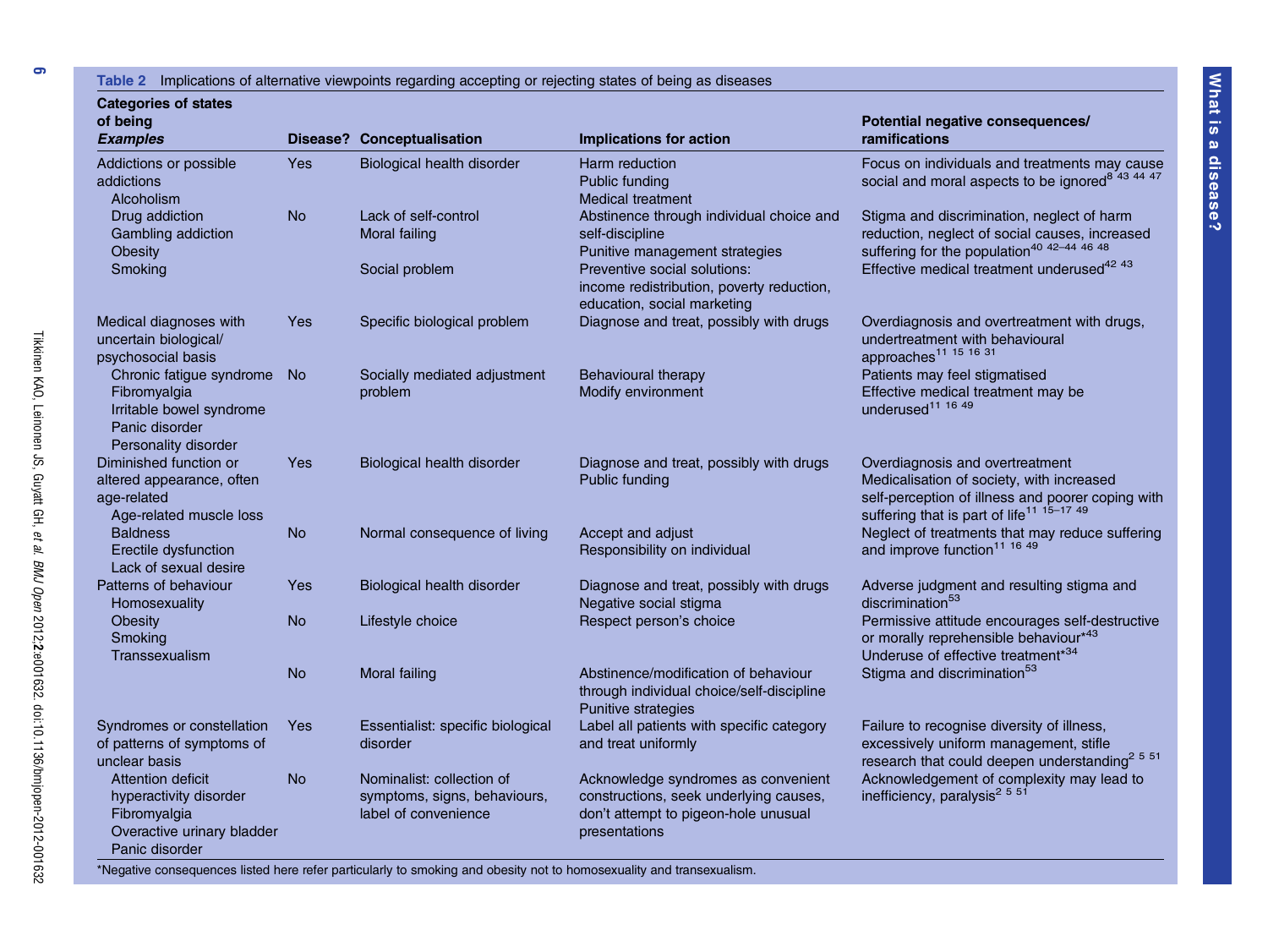#### Table 2 Implications of alternative viewpoints regarding accepting or rejecting states of being as diseases

| <b>Categories of states</b><br>of being<br><b>Examples</b>                                                     | Disease?  | <b>Conceptualisation</b>                                                          | Implications for action                                                                                                                | Potential negative consequences/<br>ramifications                                                                                                                                          |
|----------------------------------------------------------------------------------------------------------------|-----------|-----------------------------------------------------------------------------------|----------------------------------------------------------------------------------------------------------------------------------------|--------------------------------------------------------------------------------------------------------------------------------------------------------------------------------------------|
| Addictions or possible<br>addictions<br>Alcoholism                                                             | Yes       | Biological health disorder                                                        | Harm reduction<br>Public funding<br><b>Medical treatment</b>                                                                           | Focus on individuals and treatments may cause<br>social and moral aspects to be ignored <sup>8 43 44 47</sup>                                                                              |
| Drug addiction<br>Gambling addiction<br><b>Obesity</b>                                                         | <b>No</b> | Lack of self-control<br>Moral failing                                             | Abstinence through individual choice and<br>self-discipline<br>Punitive management strategies                                          | Stigma and discrimination, neglect of harm<br>reduction, neglect of social causes, increased<br>suffering for the population <sup>40 42-44 46 48</sup>                                     |
| Smoking                                                                                                        |           | Social problem                                                                    | Preventive social solutions:<br>income redistribution, poverty reduction,<br>education, social marketing                               | Effective medical treatment underused <sup>42 43</sup>                                                                                                                                     |
| Medical diagnoses with<br>uncertain biological/<br>psychosocial basis                                          | Yes       | Specific biological problem                                                       | Diagnose and treat, possibly with drugs                                                                                                | Overdiagnosis and overtreatment with drugs,<br>undertreatment with behavioural<br>approaches <sup>11</sup> 15 16 31                                                                        |
| Chronic fatigue syndrome<br>Fibromyalgia<br>Irritable bowel syndrome<br>Panic disorder<br>Personality disorder | <b>No</b> | Socially mediated adjustment<br>problem                                           | Behavioural therapy<br>Modify environment                                                                                              | Patients may feel stigmatised<br>Effective medical treatment may be<br>underused <sup>11</sup> 16 49                                                                                       |
| Diminished function or<br>altered appearance, often<br>age-related<br>Age-related muscle loss                  | Yes       | Biological health disorder                                                        | Diagnose and treat, possibly with drugs<br>Public funding                                                                              | Overdiagnosis and overtreatment<br>Medicalisation of society, with increased<br>self-perception of illness and poorer coping with<br>suffering that is part of life <sup>11</sup> 15-17 49 |
| <b>Baldness</b><br>Erectile dysfunction<br>Lack of sexual desire                                               | <b>No</b> | Normal consequence of living                                                      | Accept and adjust<br>Responsibility on individual                                                                                      | Neglect of treatments that may reduce suffering<br>and improve function <sup>11</sup> 16 49                                                                                                |
| Patterns of behaviour<br>Homosexuality                                                                         | Yes       | Biological health disorder                                                        | Diagnose and treat, possibly with drugs<br>Negative social stigma                                                                      | Adverse judgment and resulting stigma and<br>discrimination <sup>53</sup>                                                                                                                  |
| Obesity<br>Smoking<br>Transsexualism                                                                           | <b>No</b> | Lifestyle choice                                                                  | Respect person's choice                                                                                                                | Permissive attitude encourages self-destructive<br>or morally reprehensible behaviour*43<br>Underuse of effective treatment*34                                                             |
|                                                                                                                | <b>No</b> | Moral failing                                                                     | Abstinence/modification of behaviour<br>through individual choice/self-discipline<br>Punitive strategies                               | Stigma and discrimination <sup>53</sup>                                                                                                                                                    |
| Syndromes or constellation<br>of patterns of symptoms of<br>unclear basis                                      | Yes       | Essentialist: specific biological<br>disorder                                     | Label all patients with specific category<br>and treat uniformly                                                                       | Failure to recognise diversity of illness,<br>excessively uniform management, stifle<br>research that could deepen understanding <sup>2 5 51</sup>                                         |
| Attention deficit<br>hyperactivity disorder<br>Fibromyalgia<br>Overactive urinary bladder<br>Panic disorder    | <b>No</b> | Nominalist: collection of<br>symptoms, signs, behaviours,<br>label of convenience | Acknowledge syndromes as convenient<br>constructions, seek underlying causes,<br>don't attempt to pigeon-hole unusual<br>presentations | Acknowledgement of complexity may lead to<br>inefficiency, paralysis <sup>2 5 51</sup>                                                                                                     |

\*Negative consequences listed here refer particularly to smoking and obesity not to homosexuality and transexualism.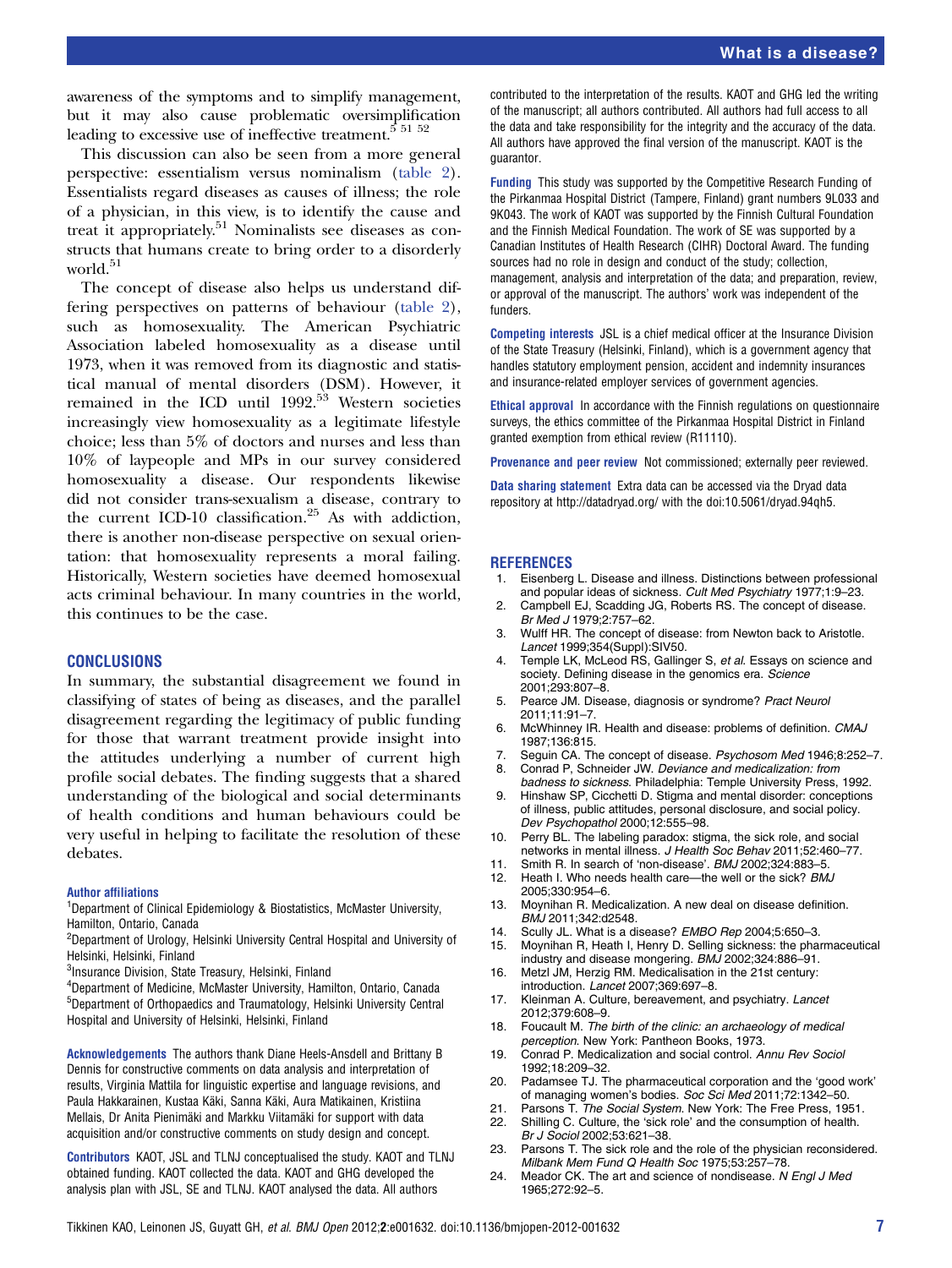awareness of the symptoms and to simplify management, but it may also cause problematic oversimplification leading to excessive use of ineffective treatment.<sup>5 51 52</sup>

This discussion can also be seen from a more general perspective: essentialism versus nominalism (table 2). Essentialists regard diseases as causes of illness; the role of a physician, in this view, is to identify the cause and treat it appropriately.51 Nominalists see diseases as constructs that humans create to bring order to a disorderly world. $51$ 

The concept of disease also helps us understand differing perspectives on patterns of behaviour (table 2), such as homosexuality. The American Psychiatric Association labeled homosexuality as a disease until 1973, when it was removed from its diagnostic and statistical manual of mental disorders (DSM). However, it remained in the ICD until  $1992$ <sup>53</sup> Western societies increasingly view homosexuality as a legitimate lifestyle choice; less than 5% of doctors and nurses and less than 10% of laypeople and MPs in our survey considered homosexuality a disease. Our respondents likewise did not consider trans-sexualism a disease, contrary to the current ICD-10 classification.<sup>25</sup> As with addiction, there is another non-disease perspective on sexual orientation: that homosexuality represents a moral failing. Historically, Western societies have deemed homosexual acts criminal behaviour. In many countries in the world, this continues to be the case.

#### **CONCLUSIONS**

In summary, the substantial disagreement we found in classifying of states of being as diseases, and the parallel disagreement regarding the legitimacy of public funding for those that warrant treatment provide insight into the attitudes underlying a number of current high profile social debates. The finding suggests that a shared understanding of the biological and social determinants of health conditions and human behaviours could be very useful in helping to facilitate the resolution of these debates.

#### Author affiliations

<sup>1</sup>Department of Clinical Epidemiology & Biostatistics, McMaster University, Hamilton, Ontario, Canada

<sup>2</sup>Department of Urology, Helsinki University Central Hospital and University of Helsinki, Helsinki, Finland

<sup>3</sup>Insurance Division, State Treasury, Helsinki, Finland

4 Department of Medicine, McMaster University, Hamilton, Ontario, Canada 5 Department of Orthopaedics and Traumatology, Helsinki University Central Hospital and University of Helsinki, Helsinki, Finland

Acknowledgements The authors thank Diane Heels-Ansdell and Brittany B Dennis for constructive comments on data analysis and interpretation of results, Virginia Mattila for linguistic expertise and language revisions, and Paula Hakkarainen, Kustaa Käki, Sanna Käki, Aura Matikainen, Kristiina Mellais, Dr Anita Pienimäki and Markku Viitamäki for support with data acquisition and/or constructive comments on study design and concept.

Contributors KAOT, JSL and TLNJ conceptualised the study. KAOT and TLNJ obtained funding. KAOT collected the data. KAOT and GHG developed the analysis plan with JSL, SE and TLNJ. KAOT analysed the data. All authors

contributed to the interpretation of the results. KAOT and GHG led the writing of the manuscript; all authors contributed. All authors had full access to all the data and take responsibility for the integrity and the accuracy of the data. All authors have approved the final version of the manuscript. KAOT is the guarantor.

Funding This study was supported by the Competitive Research Funding of the Pirkanmaa Hospital District (Tampere, Finland) grant numbers 9L033 and 9K043. The work of KAOT was supported by the Finnish Cultural Foundation and the Finnish Medical Foundation. The work of SE was supported by a Canadian Institutes of Health Research (CIHR) Doctoral Award. The funding sources had no role in design and conduct of the study; collection, management, analysis and interpretation of the data; and preparation, review, or approval of the manuscript. The authors' work was independent of the funders.

Competing interests JSL is a chief medical officer at the Insurance Division of the State Treasury (Helsinki, Finland), which is a government agency that handles statutory employment pension, accident and indemnity insurances and insurance-related employer services of government agencies.

Ethical approval In accordance with the Finnish regulations on questionnaire surveys, the ethics committee of the Pirkanmaa Hospital District in Finland granted exemption from ethical review (R11110).

Provenance and peer review Not commissioned; externally peer reviewed.

Data sharing statement Extra data can be accessed via the Dryad data repository at<http://datadryad.org/> with the doi:10.5061/dryad.94qh5.

#### **REFERENCES**

- 1. Eisenberg L. Disease and illness. Distinctions between professional and popular ideas of sickness. Cult Med Psychiatry 1977;1:9-23.
- 2. Campbell EJ, Scadding JG, Roberts RS. The concept of disease. Br Med J 1979;2:757–62.
- 3. Wulff HR. The concept of disease: from Newton back to Aristotle. Lancet 1999;354(Suppl):SIV50.
- 4. Temple LK, McLeod RS, Gallinger S, et al. Essavs on science and society. Defining disease in the genomics era. Science 2001;293:807–8.
- 5. Pearce JM. Disease, diagnosis or syndrome? Pract Neurol 2011;11:91–7.
- 6. McWhinney IR. Health and disease: problems of definition. CMAJ 1987;136:815.
- 7. Seguin CA. The concept of disease. Psychosom Med 1946;8:252-7.
- 8. Conrad P, Schneider JW. Deviance and medicalization: from badness to sickness. Philadelphia: Temple University Press, 1992.
- 9. Hinshaw SP, Cicchetti D. Stigma and mental disorder: conceptions of illness, public attitudes, personal disclosure, and social policy. Dev Psychopathol 2000;12:555–98.
- 10. Perry BL. The labeling paradox: stigma, the sick role, and social networks in mental illness. J Health Soc Behav 2011;52:460–77.
- 11. Smith R. In search of 'non-disease'. BMJ 2002;324:883–5. 12. Heath I. Who needs health care—the well or the sick? BMJ
- 2005;330:954–6. 13. Moynihan R. Medicalization. A new deal on disease definition.
- BMJ 2011;342:d2548.
- 14. Scully JL. What is a disease? EMBO Rep 2004;5:650-3. 15. Moynihan R, Heath I, Henry D. Selling sickness: the pharmaceutical
- industry and disease mongering. BMJ 2002;324:886–91. 16. Metzl JM, Herzig RM. Medicalisation in the 21st century:
- introduction. Lancet 2007;369:697–8.
- 17. Kleinman A. Culture, bereavement, and psychiatry. Lancet 2012;379:608–9.
- 18. Foucault M. The birth of the clinic: an archaeology of medical perception. New York: Pantheon Books, 1973.
- 19. Conrad P. Medicalization and social control. Annu Rev Sociol 1992;18:209–32.
- 20. Padamsee TJ. The pharmaceutical corporation and the 'good work' of managing women's bodies. Soc Sci Med 2011;72:1342–50.
- 21. Parsons T. The Social System. New York: The Free Press, 1951.
- 22. Shilling C. Culture, the 'sick role' and the consumption of health. Br J Sociol 2002;53:621–38.
- 23. Parsons T. The sick role and the role of the physician reconsidered. Milbank Mem Fund Q Health Soc 1975;53:257–78.
- 24. Meador CK. The art and science of nondisease. N Engl J Med 1965;272:92–5.